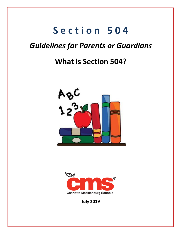## Section 504

## **Guidelines for Parents or Guardians**

## **What is Section 504?**





**July 2019**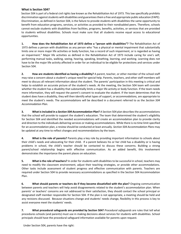## **What is Section 504?**

Section 504 is part of a federal civil rights law known as the Rehabilitation Act of 1973. This law specifically prohibits discrimination against students with disabilities and guarantees them a free and appropriate public education (FAPE). Discrimination, as defined in Section 504, is the failure to provide students with disabilities the same opportunity to benefit from education programs, services, or activities as provided to their nondisabled peers. Therefore, schools cannot exclude students with disabilities from facilities, programs, benefits, activities, or services that are provided to students without disabilities. Schools must make sure that all students receive equal access to educational opportunities.

**1. How does the Rehabilitation Act of 1973 define a "person with disabilities"?** The Rehabilitation Act of 1973 defines a person with disabilities as any person who "has a physical or mental impairment that substantially limits one or more major life activities or body function, has a record of such impairment, or is regarded as having an impairment." Major life activities as defined in the Rehabilitation Act of 1973 include caring for one's self, performing manual tasks, walking, seeing, hearing, speaking, breathing, learning, and working. Learning does not have to be the major life activity affected in order for an individual to be eligible for protections and services under Section 504.

**2. How are students identified as having a disability?** A parent, teacher, or other member of the school staff may raise a concern about a student's unique need for special help. Parents, teachers, and other staff members will meet to discuss all relevant information about the student. The parents' participation in this meeting is critical and helps to establish an accurate picture of the student's needs. At the meeting, the Section 504 team will consider whether the student has a disability that substantially limits a major life activity or body function. If the team needs more information, they will request the parent's consent to evaluate the student. If the team determines that the student does have a disability, they will then identify what types of support, or *accommodations,* are appropriate to meet the student's needs. The accommodations will be described in a document referred to as the *Section 504 Accommodation Plan*.

**3. What is included in a** *Section 504 Accommodation Plan***?** A Section 504 plan describes the accommodations that the school will provide to support the student's education. The team that determined the student's eligibility for Section 504 and identified the needed accommodations will create an accommodation plan to provide clarity and direction to the individuals delivering services or making accommodations. While there is no time limit specified for an accommodation plan, a review should be conducted at least annually. *Section 504 Accommodation Plans* may be updated at any time to reflect changes and recommendations by the team.

**4. What is the role of parents?** Parents play a key role by providing important information to schools about their child's needs and advocating for their child. If a parent believes his or her child has a disability or is having problems in school, the child's teacher should be contacted to discuss these concerns. Building a strong parent/school relationship begins with effective communication. As an added benefit, this involvement demonstrates the importance the parent places on education.

**5. What is the role of teachers?** In order for students with disabilities to be successful in school, teachers may need to modify the classroom environment, adjust their teaching strategies, or provide other accommodations. Other tasks include assessment of student progress and effective communication with parents. Teachers are required under Section 504 to provide necessary accommodations as specified in the Section 504 Accommodation Plan.

**6. What should parents or teachers do if they become dissatisfied with the plan?** Ongoing communication between parents and teachers will help avoid disagreements related to the student's accommodation plan. When parents' or teachers' concerns are not addressed to their satisfaction, they should contact the school principal or designated staff member responsible for Section 504. If the plan is not appropriate, a meeting should be held and any revisions discussed. Because situations change and students' needs change, flexibility in this process is key to assist everyone meet the students' needs.

**7. What procedural safeguards are provided by Section 504?** *Procedural safeguards* are rules that tell what procedures schools (and parents) must use in making decisions about services for students with disabilities. School principals should have the procedural safeguard information available for parents upon request.